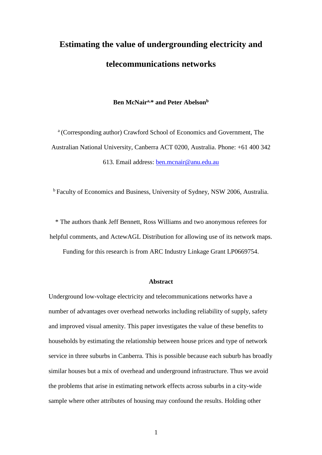# **Estimating the value of undergrounding electricity and telecommunications networks**

#### **Ben McNaira,\* and Peter Abelson<sup>b</sup>**

<sup>a</sup> (Corresponding author) Crawford School of Economics and Government, The Australian National University, Canberra ACT 0200, Australia. Phone: +61 400 342 613. Email address: [ben.mcnair@anu.edu.au](mailto:ben.mcnair@anu.edu.au)

<sup>b</sup> Faculty of Economics and Business, University of Sydney, NSW 2006, Australia.

\* The authors thank Jeff Bennett, Ross Williams and two anonymous referees for helpful comments, and ActewAGL Distribution for allowing use of its network maps.

Funding for this research is from ARC Industry Linkage Grant LP0669754.

#### **Abstract**

Underground low-voltage electricity and telecommunications networks have a number of advantages over overhead networks including reliability of supply, safety and improved visual amenity. This paper investigates the value of these benefits to households by estimating the relationship between house prices and type of network service in three suburbs in Canberra. This is possible because each suburb has broadly similar houses but a mix of overhead and underground infrastructure. Thus we avoid the problems that arise in estimating network effects across suburbs in a city-wide sample where other attributes of housing may confound the results. Holding other

1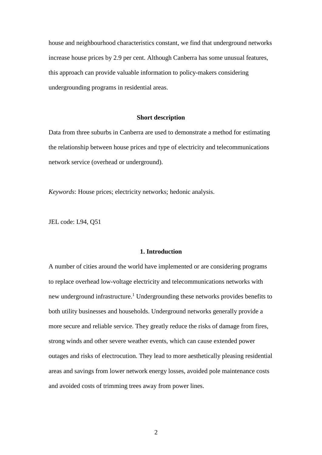house and neighbourhood characteristics constant, we find that underground networks increase house prices by 2.9 per cent. Although Canberra has some unusual features, this approach can provide valuable information to policy-makers considering undergrounding programs in residential areas.

#### **Short description**

Data from three suburbs in Canberra are used to demonstrate a method for estimating the relationship between house prices and type of electricity and telecommunications network service (overhead or underground).

*Keywords*: House prices; electricity networks; hedonic analysis.

JEL code: L94, Q51

#### **1. Introduction**

A number of cities around the world have implemented or are considering programs to replace overhead low-voltage electricity and telecommunications networks with new underground infrastructure.<sup>1</sup> Undergrounding these networks provides benefits to both utility businesses and households. Underground networks generally provide a more secure and reliable service. They greatly reduce the risks of damage from fires, strong winds and other severe weather events, which can cause extended power outages and risks of electrocution. They lead to more aesthetically pleasing residential areas and savings from lower network energy losses, avoided pole maintenance costs and avoided costs of trimming trees away from power lines.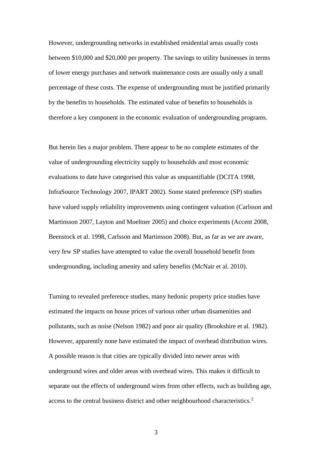However, undergrounding networks in established residential areas usually costs between \$10,000 and \$20,000 per property. The savings to utility businesses in terms of lower energy purchases and network maintenance costs are usually only a small percentage of these costs. The expense of undergrounding must be justified primarily by the benefits to households. The estimated value of benefits to households is therefore a key component in the economic evaluation of undergrounding programs.

But herein lies a major problem. There appear to be no complete estimates of the value of undergrounding electricity supply to households and most economic evaluations to date have categorised this value as unquantifiable (DCITA 1998, InfraSource Technology 2007, IPART 2002). Some stated preference (SP) studies have valued supply reliability improvements using contingent valuation (Carlsson and Martinsson 2007, Layton and Moeltner 2005) and choice experiments (Accent 2008, Beenstock et al. 1998, Carlsson and Martinsson 2008). But, as far as we are aware, very few SP studies have attempted to value the overall household benefit from undergrounding, including amenity and safety benefits (McNair et al. 2010).

Turning to revealed preference studies, many hedonic property price studies have estimated the impacts on house prices of various other urban disamenities and pollutants, such as noise (Nelson 1982) and poor air quality (Brookshire et al. 1982). However, apparently none have estimated the impact of overhead distribution wires. A possible reason is that cities are typically divided into newer areas with underground wires and older areas with overhead wires. This makes it difficult to separate out the effects of underground wires from other effects, such as building age, access to the central business district and other neighbourhood characteristics.<sup>2</sup>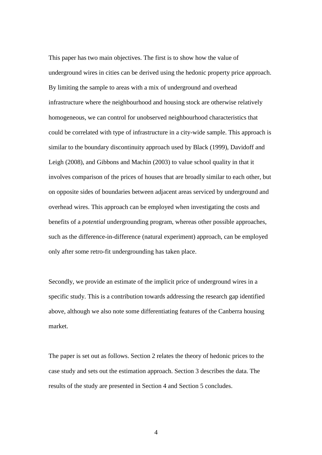This paper has two main objectives. The first is to show how the value of underground wires in cities can be derived using the hedonic property price approach. By limiting the sample to areas with a mix of underground and overhead infrastructure where the neighbourhood and housing stock are otherwise relatively homogeneous, we can control for unobserved neighbourhood characteristics that could be correlated with type of infrastructure in a city-wide sample. This approach is similar to the boundary discontinuity approach used by Black (1999), Davidoff and Leigh (2008), and Gibbons and Machin (2003) to value school quality in that it involves comparison of the prices of houses that are broadly similar to each other, but on opposite sides of boundaries between adjacent areas serviced by underground and overhead wires. This approach can be employed when investigating the costs and benefits of a *potential* undergrounding program, whereas other possible approaches, such as the difference-in-difference (natural experiment) approach, can be employed only after some retro-fit undergrounding has taken place.

Secondly, we provide an estimate of the implicit price of underground wires in a specific study. This is a contribution towards addressing the research gap identified above, although we also note some differentiating features of the Canberra housing market.

The paper is set out as follows. Section 2 relates the theory of hedonic prices to the case study and sets out the estimation approach. Section 3 describes the data. The results of the study are presented in Section 4 and Section 5 concludes.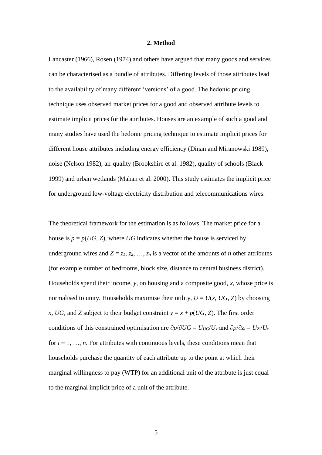#### **2. Method**

Lancaster (1966), Rosen (1974) and others have argued that many goods and services can be characterised as a bundle of attributes. Differing levels of those attributes lead to the availability of many different 'versions' of a good. The hedonic pricing technique uses observed market prices for a good and observed attribute levels to estimate implicit prices for the attributes. Houses are an example of such a good and many studies have used the hedonic pricing technique to estimate implicit prices for different house attributes including energy efficiency (Dinan and Miranowski 1989), noise (Nelson 1982), air quality (Brookshire et al. 1982), quality of schools (Black 1999) and urban wetlands (Mahan et al. 2000). This study estimates the implicit price for underground low-voltage electricity distribution and telecommunications wires.

The theoretical framework for the estimation is as follows. The market price for a house is  $p = p(UG, Z)$ , where *UG* indicates whether the house is serviced by underground wires and  $Z = z_1, z_2, ..., z_n$  is a vector of the amounts of *n* other attributes (for example number of bedrooms, block size, distance to central business district). Households spend their income, *y*, on housing and a composite good, *x*, whose price is normalised to unity. Households maximise their utility,  $U = U(x, UG, Z)$  by choosing *x*, *UG*, and *Z* subject to their budget constraint  $y = x + p(UG, Z)$ . The first order conditions of this constrained optimisation are  $\partial p/\partial U = U_{UG}/U_x$  and  $\partial p/\partial z_i = U_{Zi}/U_x$ for  $i = 1, \ldots, n$ . For attributes with continuous levels, these conditions mean that households purchase the quantity of each attribute up to the point at which their marginal willingness to pay (WTP) for an additional unit of the attribute is just equal to the marginal implicit price of a unit of the attribute.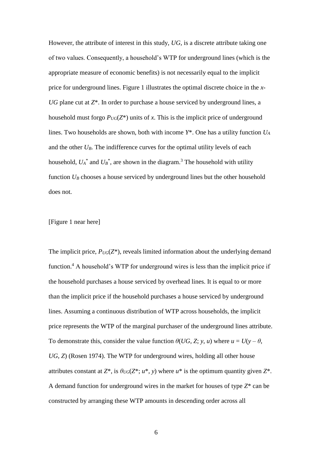However, the attribute of interest in this study, *UG*, is a discrete attribute taking one of two values. Consequently, a household's WTP for underground lines (which is the appropriate measure of economic benefits) is not necessarily equal to the implicit price for underground lines. Figure 1 illustrates the optimal discrete choice in the *x*-*UG* plane cut at *Z*\*. In order to purchase a house serviced by underground lines, a household must forgo  $P_{UG}(Z^*)$  units of *x*. This is the implicit price of underground lines. Two households are shown, both with income *Y*\*. One has a utility function *U<sup>A</sup>* and the other  $U_B$ . The indifference curves for the optimal utility levels of each household,  $U_A^*$  and  $U_B^*$ , are shown in the diagram.<sup>3</sup> The household with utility function  $U_B$  chooses a house serviced by underground lines but the other household does not.

[\[Figure 1](#page-21-0) near here]

The implicit price,  $P_{UG}(Z^*)$ , reveals limited information about the underlying demand function.<sup>4</sup> A household's WTP for underground wires is less than the implicit price if the household purchases a house serviced by overhead lines. It is equal to or more than the implicit price if the household purchases a house serviced by underground lines. Assuming a continuous distribution of WTP across households, the implicit price represents the WTP of the marginal purchaser of the underground lines attribute. To demonstrate this, consider the value function  $\theta(UG, Z; y, u)$  where  $u = U(y - \theta,$ *UG*, *Z*) (Rosen 1974). The WTP for underground wires, holding all other house attributes constant at  $Z^*$ , is  $\theta_{UG}(Z^*; u^*, y)$  where  $u^*$  is the optimum quantity given  $Z^*$ . A demand function for underground wires in the market for houses of type *Z*\* can be constructed by arranging these WTP amounts in descending order across all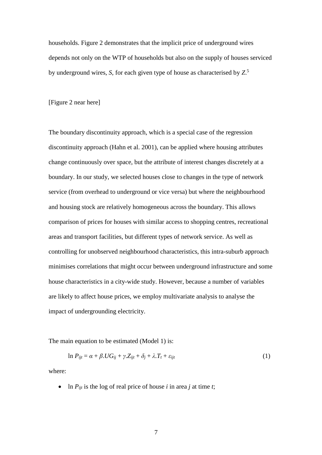households. [Figure 2](#page-22-0) demonstrates that the implicit price of underground wires depends not only on the WTP of households but also on the supply of houses serviced by underground wires, *S*, for each given type of house as characterised by *Z*. 5

[\[Figure 2](#page-22-0) near here]

The boundary discontinuity approach, which is a special case of the regression discontinuity approach (Hahn et al. 2001), can be applied where housing attributes change continuously over space, but the attribute of interest changes discretely at a boundary. In our study, we selected houses close to changes in the type of network service (from overhead to underground or vice versa) but where the neighbourhood and housing stock are relatively homogeneous across the boundary. This allows comparison of prices for houses with similar access to shopping centres, recreational areas and transport facilities, but different types of network service. As well as controlling for unobserved neighbourhood characteristics, this intra-suburb approach minimises correlations that might occur between underground infrastructure and some house characteristics in a city-wide study. However, because a number of variables are likely to affect house prices, we employ multivariate analysis to analyse the impact of undergrounding electricity.

The main equation to be estimated (Model 1) is:

$$
\ln P_{ijt} = \alpha + \beta \cdot UG_{ij} + \gamma \cdot Z_{ijt} + \delta_j + \lambda \cdot T_t + \varepsilon_{ijt}
$$
\n<sup>(1)</sup>

where:

• In  $P_{ijt}$  is the log of real price of house *i* in area *j* at time *t*;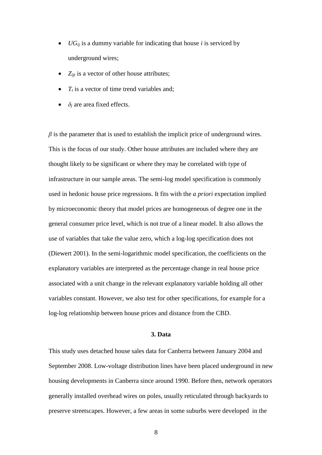- *UG<sub>ij</sub>* is a dummy variable for indicating that house *i* is serviced by underground wires;
- *Z<sub>ijt</sub>* is a vector of other house attributes;
- $T_t$  is a vector of time trend variables and;
- $\delta_i$  are area fixed effects.

 $\beta$  is the parameter that is used to establish the implicit price of underground wires. This is the focus of our study. Other house attributes are included where they are thought likely to be significant or where they may be correlated with type of infrastructure in our sample areas. The semi-log model specification is commonly used in hedonic house price regressions. It fits with the *a priori* expectation implied by microeconomic theory that model prices are homogeneous of degree one in the general consumer price level, which is not true of a linear model. It also allows the use of variables that take the value zero, which a log-log specification does not (Diewert 2001). In the semi-logarithmic model specification, the coefficients on the explanatory variables are interpreted as the percentage change in real house price associated with a unit change in the relevant explanatory variable holding all other variables constant. However, we also test for other specifications, for example for a log-log relationship between house prices and distance from the CBD.

#### **3. Data**

This study uses detached house sales data for Canberra between January 2004 and September 2008. Low-voltage distribution lines have been placed underground in new housing developments in Canberra since around 1990. Before then, network operators generally installed overhead wires on poles, usually reticulated through backyards to preserve streetscapes. However, a few areas in some suburbs were developed in the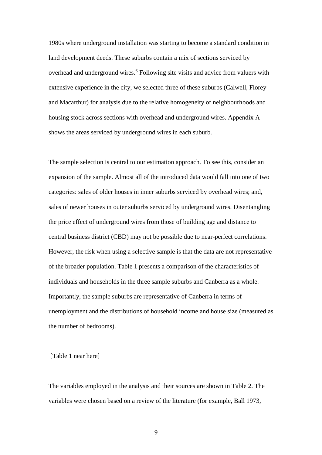1980s where underground installation was starting to become a standard condition in land development deeds. These suburbs contain a mix of sections serviced by overhead and underground wires.<sup>6</sup> Following site visits and advice from valuers with extensive experience in the city, we selected three of these suburbs (Calwell, Florey and Macarthur) for analysis due to the relative homogeneity of neighbourhoods and housing stock across sections with overhead and underground wires. Appendix A shows the areas serviced by underground wires in each suburb.

The sample selection is central to our estimation approach. To see this, consider an expansion of the sample. Almost all of the introduced data would fall into one of two categories: sales of older houses in inner suburbs serviced by overhead wires; and, sales of newer houses in outer suburbs serviced by underground wires. Disentangling the price effect of underground wires from those of building age and distance to central business district (CBD) may not be possible due to near-perfect correlations. However, the risk when using a selective sample is that the data are not representative of the broader population. [Table 1](#page-23-0) presents a comparison of the characteristics of individuals and households in the three sample suburbs and Canberra as a whole. Importantly, the sample suburbs are representative of Canberra in terms of unemployment and the distributions of household income and house size (measured as the number of bedrooms).

[\[Table 1](#page-23-0) near here]

The variables employed in the analysis and their sources are shown in [Table 2.](#page-24-0) The variables were chosen based on a review of the literature (for example, Ball 1973,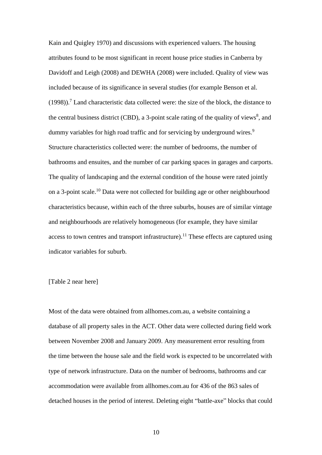Kain and Quigley 1970) and discussions with experienced valuers. The housing attributes found to be most significant in recent house price studies in Canberra by Davidoff and Leigh (2008) and DEWHA (2008) were included. Quality of view was included because of its significance in several studies (for example Benson et al.  $(1998)$ .<sup>7</sup> Land characteristic data collected were: the size of the block, the distance to the central business district (CBD), a 3-point scale rating of the quality of views $\delta$ , and dummy variables for high road traffic and for servicing by underground wires.<sup>9</sup> Structure characteristics collected were: the number of bedrooms, the number of bathrooms and ensuites, and the number of car parking spaces in garages and carports. The quality of landscaping and the external condition of the house were rated jointly on a 3-point scale.<sup>10</sup> Data were not collected for building age or other neighbourhood characteristics because, within each of the three suburbs, houses are of similar vintage and neighbourhoods are relatively homogeneous (for example, they have similar access to town centres and transport infrastructure).<sup>11</sup> These effects are captured using indicator variables for suburb.

#### [\[Table 2](#page-24-0) near here]

Most of the data were obtained from allhomes.com.au, a website containing a database of all property sales in the ACT. Other data were collected during field work between November 2008 and January 2009. Any measurement error resulting from the time between the house sale and the field work is expected to be uncorrelated with type of network infrastructure. Data on the number of bedrooms, bathrooms and car accommodation were available from [allhomes.com.au](http://www.allhomes.com.au/) for 436 of the 863 sales of detached houses in the period of interest. Deleting eight "battle-axe" blocks that could

10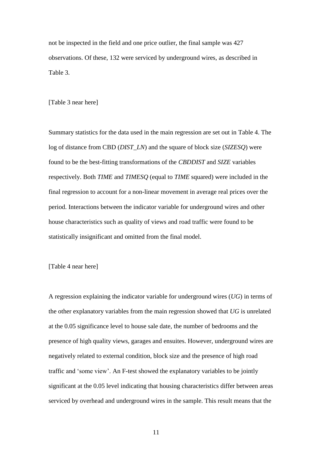not be inspected in the field and one price outlier, the final sample was 427 observations. Of these, 132 were serviced by underground wires, as described in [Table 3.](#page-25-0)

[\[Table 3](#page-25-0) near here]

Summary statistics for the data used in the main regression are set out in [Table 4.](#page-26-0) The log of distance from CBD (*DIST\_LN*) and the square of block size (*SIZESQ*) were found to be the best-fitting transformations of the *CBDDIST* and *SIZE* variables respectively. Both *TIME* and *TIMESQ* (equal to *TIME* squared) were included in the final regression to account for a non-linear movement in average real prices over the period. Interactions between the indicator variable for underground wires and other house characteristics such as quality of views and road traffic were found to be statistically insignificant and omitted from the final model.

[\[Table 4](#page-26-0) near here]

A regression explaining the indicator variable for underground wires (*UG*) in terms of the other explanatory variables from the main regression showed that *UG* is unrelated at the 0.05 significance level to house sale date, the number of bedrooms and the presence of high quality views, garages and ensuites. However, underground wires are negatively related to external condition, block size and the presence of high road traffic and 'some view'. An F-test showed the explanatory variables to be jointly significant at the 0.05 level indicating that housing characteristics differ between areas serviced by overhead and underground wires in the sample. This result means that the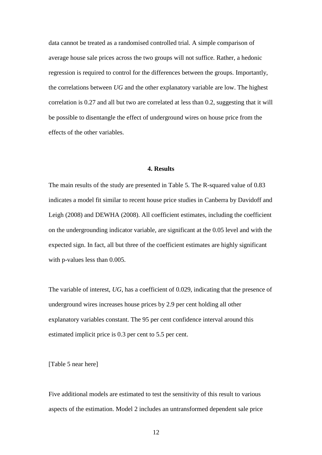data cannot be treated as a randomised controlled trial. A simple comparison of average house sale prices across the two groups will not suffice. Rather, a hedonic regression is required to control for the differences between the groups. Importantly, the correlations between *UG* and the other explanatory variable are low. The highest correlation is 0.27 and all but two are correlated at less than 0.2, suggesting that it will be possible to disentangle the effect of underground wires on house price from the effects of the other variables.

#### **4. Results**

The main results of the study are presented in [Table 5.](#page-27-0) The R-squared value of 0.83 indicates a model fit similar to recent house price studies in Canberra by Davidoff and Leigh (2008) and DEWHA (2008). All coefficient estimates, including the coefficient on the undergrounding indicator variable, are significant at the 0.05 level and with the expected sign. In fact, all but three of the coefficient estimates are highly significant with p-values less than 0.005.

The variable of interest, *UG*, has a coefficient of 0.029, indicating that the presence of underground wires increases house prices by 2.9 per cent holding all other explanatory variables constant. The 95 per cent confidence interval around this estimated implicit price is 0.3 per cent to 5.5 per cent.

[\[Table 5](#page-27-0) near here]

Five additional models are estimated to test the sensitivity of this result to various aspects of the estimation. Model 2 includes an untransformed dependent sale price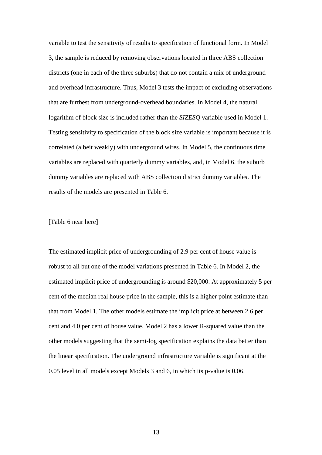variable to test the sensitivity of results to specification of functional form. In Model 3, the sample is reduced by removing observations located in three ABS collection districts (one in each of the three suburbs) that do not contain a mix of underground and overhead infrastructure. Thus, Model 3 tests the impact of excluding observations that are furthest from underground-overhead boundaries. In Model 4, the natural logarithm of block size is included rather than the *SIZESQ* variable used in Model 1. Testing sensitivity to specification of the block size variable is important because it is correlated (albeit weakly) with underground wires. In Model 5, the continuous time variables are replaced with quarterly dummy variables, and, in Model 6, the suburb dummy variables are replaced with ABS collection district dummy variables. The results of the models are presented in [Table 6.](#page-28-0)

#### [\[Table 6](#page-28-0) near here]

The estimated implicit price of undergrounding of 2.9 per cent of house value is robust to all but one of the model variations presented in [Table 6.](#page-28-0) In Model 2, the estimated implicit price of undergrounding is around \$20,000. At approximately 5 per cent of the median real house price in the sample, this is a higher point estimate than that from Model 1. The other models estimate the implicit price at between 2.6 per cent and 4.0 per cent of house value. Model 2 has a lower R-squared value than the other models suggesting that the semi-log specification explains the data better than the linear specification. The underground infrastructure variable is significant at the 0.05 level in all models except Models 3 and 6, in which its p-value is 0.06.

13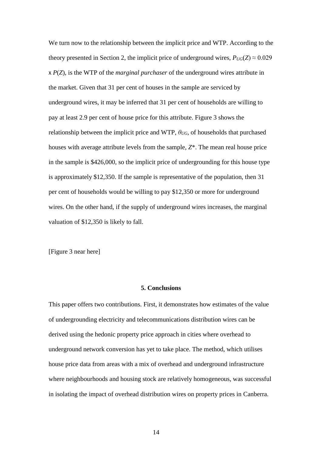We turn now to the relationship between the implicit price and WTP. According to the theory presented in Section 2, the implicit price of underground wires,  $P_{UG}(Z) \approx 0.029$ x *P*(*Z*), is the WTP of the *marginal purchaser* of the underground wires attribute in the market. Given that 31 per cent of houses in the sample are serviced by underground wires, it may be inferred that 31 per cent of households are willing to pay at least 2.9 per cent of house price for this attribute. [Figure 3](#page-29-0) shows the relationship between the implicit price and WTP, *θUG*, of households that purchased houses with average attribute levels from the sample, *Z*\*. The mean real house price in the sample is \$426,000, so the implicit price of undergrounding for this house type is approximately \$12,350. If the sample is representative of the population, then 31 per cent of households would be willing to pay \$12,350 or more for underground wires. On the other hand, if the supply of underground wires increases, the marginal valuation of \$12,350 is likely to fall.

[\[Figure 3](#page-29-0) near here]

#### **5. Conclusions**

This paper offers two contributions. First, it demonstrates how estimates of the value of undergrounding electricity and telecommunications distribution wires can be derived using the hedonic property price approach in cities where overhead to underground network conversion has yet to take place. The method, which utilises house price data from areas with a mix of overhead and underground infrastructure where neighbourhoods and housing stock are relatively homogeneous, was successful in isolating the impact of overhead distribution wires on property prices in Canberra.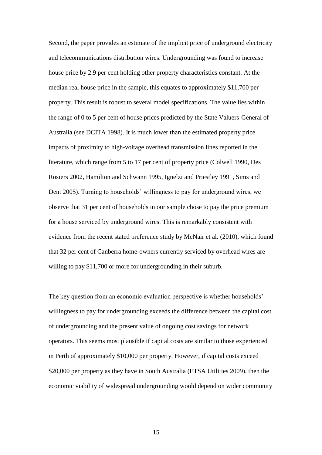Second, the paper provides an estimate of the implicit price of underground electricity and telecommunications distribution wires. Undergrounding was found to increase house price by 2.9 per cent holding other property characteristics constant. At the median real house price in the sample, this equates to approximately \$11,700 per property. This result is robust to several model specifications. The value lies within the range of 0 to 5 per cent of house prices predicted by the State Valuers-General of Australia (see DCITA 1998). It is much lower than the estimated property price impacts of proximity to high-voltage overhead transmission lines reported in the literature, which range from 5 to 17 per cent of property price (Colwell 1990, Des Rosiers 2002, Hamilton and Schwann 1995, Ignelzi and Priestley 1991, Sims and Dent 2005). Turning to households' willingness to pay for underground wires, we observe that 31 per cent of households in our sample chose to pay the price premium for a house serviced by underground wires. This is remarkably consistent with evidence from the recent stated preference study by McNair et al. (2010), which found that 32 per cent of Canberra home-owners currently serviced by overhead wires are willing to pay \$11,700 or more for undergrounding in their suburb.

The key question from an economic evaluation perspective is whether households' willingness to pay for undergrounding exceeds the difference between the capital cost of undergrounding and the present value of ongoing cost savings for network operators. This seems most plausible if capital costs are similar to those experienced in Perth of approximately \$10,000 per property. However, if capital costs exceed \$20,000 per property as they have in South Australia (ETSA Utilities 2009), then the economic viability of widespread undergrounding would depend on wider community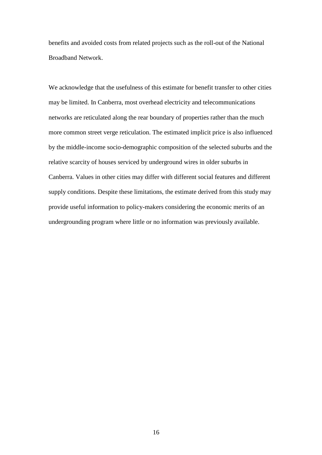benefits and avoided costs from related projects such as the roll-out of the National Broadband Network.

We acknowledge that the usefulness of this estimate for benefit transfer to other cities may be limited. In Canberra, most overhead electricity and telecommunications networks are reticulated along the rear boundary of properties rather than the much more common street verge reticulation. The estimated implicit price is also influenced by the middle-income socio-demographic composition of the selected suburbs and the relative scarcity of houses serviced by underground wires in older suburbs in Canberra. Values in other cities may differ with different social features and different supply conditions. Despite these limitations, the estimate derived from this study may provide useful information to policy-makers considering the economic merits of an undergrounding program where little or no information was previously available.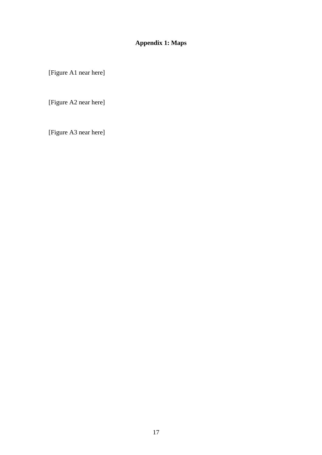### **Appendix 1: Maps**

[Figure A1 near here]

[Figure A2 near here]

[Figure A3 near here]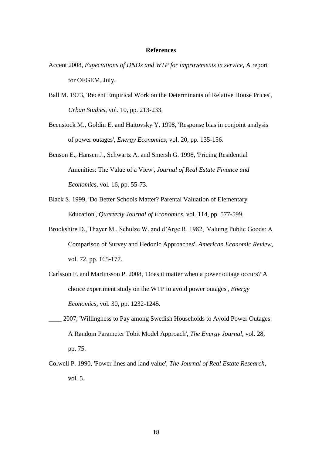#### **References**

- Accent 2008, *Expectations of DNOs and WTP for improvements in service*, A report for OFGEM, July.
- Ball M. 1973, 'Recent Empirical Work on the Determinants of Relative House Prices', *Urban Studies*, vol. 10, pp. 213-233.
- Beenstock M., Goldin E. and Haitovsky Y. 1998, 'Response bias in conjoint analysis of power outages', *Energy Economics*, vol. 20, pp. 135-156.
- Benson E., Hansen J., Schwartz A. and Smersh G. 1998, 'Pricing Residential Amenities: The Value of a View', *Journal of Real Estate Finance and Economics*, vol. 16, pp. 55-73.
- Black S. 1999, 'Do Better Schools Matter? Parental Valuation of Elementary Education', *Quarterly Journal of Economics*, vol. 114, pp. 577-599.
- Brookshire D., Thayer M., Schulze W. and d'Arge R. 1982, 'Valuing Public Goods: A Comparison of Survey and Hedonic Approaches', *American Economic Review*, vol. 72, pp. 165-177.
- Carlsson F. and Martinsson P. 2008, 'Does it matter when a power outage occurs? A choice experiment study on the WTP to avoid power outages', *Energy Economics*, vol. 30, pp. 1232-1245.
- \_\_\_\_ 2007, 'Willingness to Pay among Swedish Households to Avoid Power Outages: A Random Parameter Tobit Model Approach', *The Energy Journal*, vol. 28, pp. 75.
- Colwell P. 1990, 'Power lines and land value', *The Journal of Real Estate Research*, vol. 5.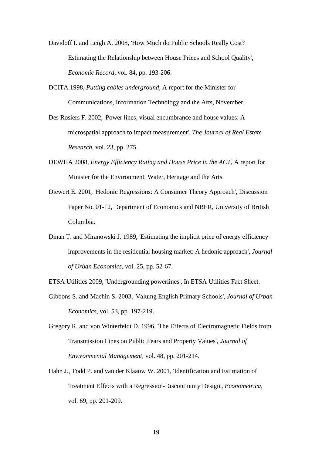- Davidoff I. and Leigh A. 2008, 'How Much do Public Schools Really Cost? Estimating the Relationship between House Prices and School Quality', *Economic Record*, vol. 84, pp. 193-206.
- DCITA 1998, *Putting cables underground*, A report for the Minister for Communications, Information Technology and the Arts, November.
- Des Rosiers F. 2002, 'Power lines, visual encumbrance and house values: A microspatial approach to impact measurement', *The Journal of Real Estate Research*, vol. 23, pp. 275.
- DEWHA 2008, *Energy Efficiency Rating and House Price in the ACT*, A report for Minister for the Environment, Water, Heritage and the Arts.
- Diewert E. 2001, 'Hedonic Regressions: A Consumer Theory Approach', Discussion Paper No. 01-12, Department of Economics and NBER, University of British Columbia.
- Dinan T. and Miranowski J. 1989, 'Estimating the implicit price of energy efficiency improvements in the residential housing market: A hedonic approach', *Journal of Urban Economics*, vol. 25, pp. 52-67.

ETSA Utilities 2009, 'Undergrounding powerlines', In ETSA Utilities Fact Sheet.

- Gibbons S. and Machin S. 2003, 'Valuing English Primary Schools', *Journal of Urban Economics*, vol. 53, pp. 197-219.
- Gregory R. and von Winterfeldt D. 1996, 'The Effects of Electromagnetic Fields from Transmission Lines on Public Fears and Property Values', *Journal of Environmental Management*, vol. 48, pp. 201-214.
- Hahn J., Todd P. and van der Klaauw W. 2001, 'Identification and Estimation of Treatment Effects with a Regression-Discontinuity Design', *Econometrica*, vol. 69, pp. 201-209.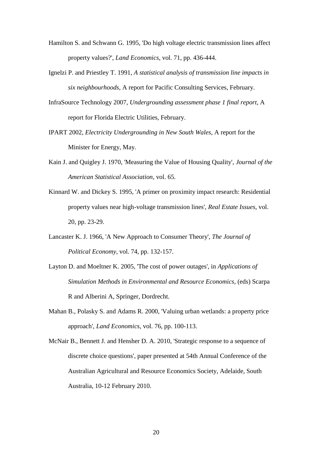- Hamilton S. and Schwann G. 1995, 'Do high voltage electric transmission lines affect property values?', *Land Economics*, vol. 71, pp. 436-444.
- Ignelzi P. and Priestley T. 1991, *A statistical analysis of transmission line impacts in six neighbourhoods*, A report for Pacific Consulting Services, February.
- InfraSource Technology 2007, *Undergrounding assessment phase 1 final report*, A report for Florida Electric Utilities, February.
- IPART 2002, *Electricity Undergrounding in New South Wales*, A report for the Minister for Energy, May.
- Kain J. and Quigley J. 1970, 'Measuring the Value of Housing Quality', *Journal of the American Statistical Association*, vol. 65.
- Kinnard W. and Dickey S. 1995, 'A primer on proximity impact research: Residential property values near high-voltage transmission lines', *Real Estate Issues*, vol. 20, pp. 23-29.
- Lancaster K. J. 1966, 'A New Approach to Consumer Theory', *The Journal of Political Economy*, vol. 74, pp. 132-157.
- Layton D. and Moeltner K. 2005, 'The cost of power outages', in *Applications of Simulation Methods in Environmental and Resource Economics*, (eds) Scarpa R and Alberini A, Springer, Dordrecht.
- Mahan B., Polasky S. and Adams R. 2000, 'Valuing urban wetlands: a property price approach', *Land Economics*, vol. 76, pp. 100-113.
- McNair B., Bennett J. and Hensher D. A. 2010, 'Strategic response to a sequence of discrete choice questions', paper presented at 54th Annual Conference of the Australian Agricultural and Resource Economics Society, Adelaide, South Australia, 10-12 February 2010.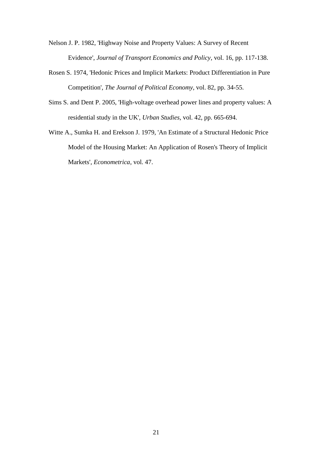Nelson J. P. 1982, 'Highway Noise and Property Values: A Survey of Recent Evidence', *Journal of Transport Economics and Policy*, vol. 16, pp. 117-138.

- Rosen S. 1974, 'Hedonic Prices and Implicit Markets: Product Differentiation in Pure Competition', *The Journal of Political Economy*, vol. 82, pp. 34-55.
- Sims S. and Dent P. 2005, 'High-voltage overhead power lines and property values: A residential study in the UK', *Urban Studies*, vol. 42, pp. 665-694.
- Witte A., Sumka H. and Erekson J. 1979, 'An Estimate of a Structural Hedonic Price Model of the Housing Market: An Application of Rosen's Theory of Implicit Markets', *Econometrica*, vol. 47.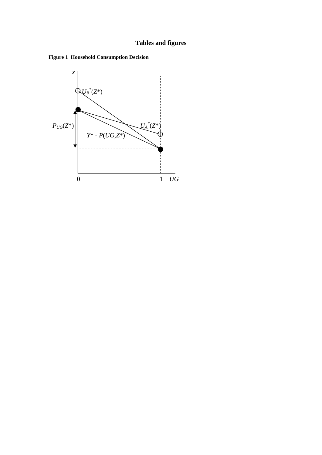## **Tables and figures**

<span id="page-21-0"></span>

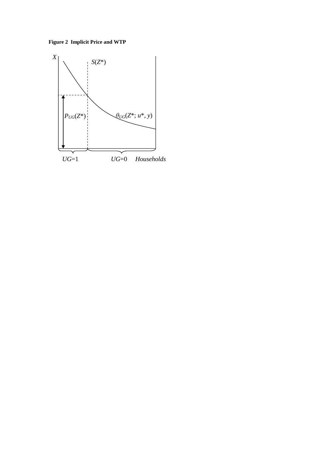<span id="page-22-0"></span>**Figure 2 Implicit Price and WTP**

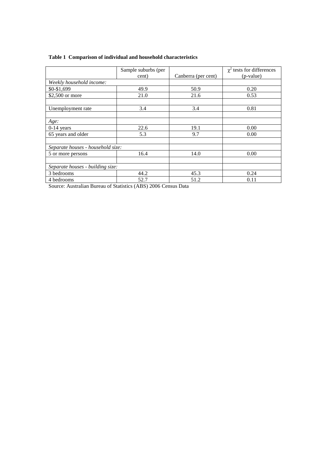|                                   | Sample suburbs (per |                     | $\chi^2$ tests for differences |  |  |  |
|-----------------------------------|---------------------|---------------------|--------------------------------|--|--|--|
|                                   | cent)               | Canberra (per cent) | (p-value)                      |  |  |  |
| Weekly household income:          |                     |                     |                                |  |  |  |
| \$0-\$1,699                       | 49.9                | 50.9                | 0.20                           |  |  |  |
| $$2,500$ or more                  | 21.0                | 21.6                | 0.53                           |  |  |  |
|                                   |                     |                     |                                |  |  |  |
| Unemployment rate                 | 3.4                 | 3.4                 | 0.81                           |  |  |  |
|                                   |                     |                     |                                |  |  |  |
| Age:                              |                     |                     |                                |  |  |  |
| $0-14$ years                      | 22.6                | 19.1                | 0.00                           |  |  |  |
| 65 years and older                | 5.3                 | 9.7                 | 0.00                           |  |  |  |
|                                   |                     |                     |                                |  |  |  |
| Separate houses - household size: |                     |                     |                                |  |  |  |
| 5 or more persons                 | 16.4                | 14.0                | 0.00                           |  |  |  |
|                                   |                     |                     |                                |  |  |  |
| Separate houses - building size:  |                     |                     |                                |  |  |  |
| 3 bedrooms                        | 44.2                | 45.3                | 0.24                           |  |  |  |
| 4 bedrooms                        | 52.7                | 51.2                | 0.11                           |  |  |  |

#### <span id="page-23-0"></span>**Table 1 Comparison of individual and household characteristics**

Source: Australian Bureau of Statistics (ABS) 2006 Census Data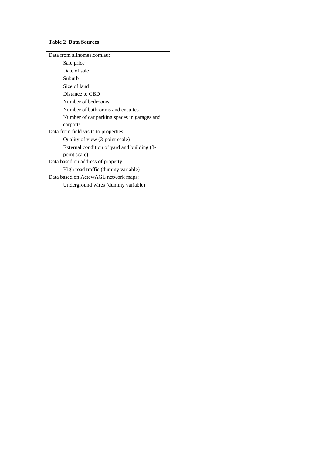#### <span id="page-24-0"></span>**Table 2 Data Sources**

| Data from allhomes.com.au:                  |
|---------------------------------------------|
| Sale price                                  |
| Date of sale                                |
| Suburb                                      |
| Size of land                                |
| Distance to CBD                             |
| Number of bedrooms                          |
| Number of bathrooms and ensuites            |
| Number of car parking spaces in garages and |
| carports                                    |
| Data from field visits to properties:       |
| Quality of view (3-point scale)             |
| External condition of yard and building (3- |
| point scale)                                |
| Data based on address of property:          |
| High road traffic (dummy variable)          |
| Data based on ActewAGL network maps:        |
| Underground wires (dummy variable)          |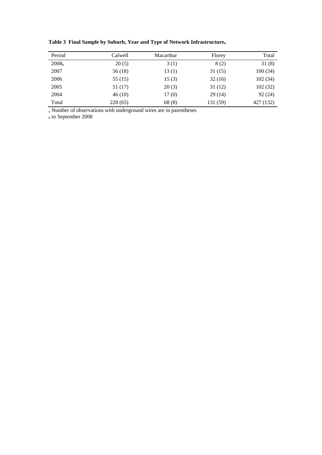| Period            | Calwell  | Macarthur | Florey   | Total     |
|-------------------|----------|-----------|----------|-----------|
| 2008 <sub>b</sub> | 20(5)    | 3(1)      | 8 (2)    | 31(8)     |
| 2007              | 56 (18)  | 13(1)     | 31(15)   | 100(34)   |
| 2006              | 55 (15)  | 15(3)     | 32(16)   | 102(34)   |
| 2005              | 51 (17)  | 20(3)     | 31 (12)  | 102(32)   |
| 2004              | 46(10)   | 17(0)     | 29(14)   | 92(24)    |
| Total             | 228 (65) | 68(8)     | 131 (59) | 427 (132) |

<span id="page-25-0"></span>**Table 3 Final Sample by Suburb, Year and Type of Network Infrastructure<sup>a</sup>**

<sup>a</sup> Number of observations with underground wires are in parentheses

<sup>b</sup> to September 2008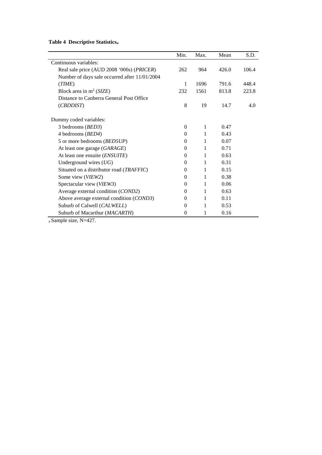<span id="page-26-0"></span>**Table 4 Descriptive Statistics<sup>a</sup>**

|                                               | Min.     | Max. | Mean  | S.D.  |
|-----------------------------------------------|----------|------|-------|-------|
| Continuous variables:                         |          |      |       |       |
| Real sale price (AUD 2008 '000s) (PRICER)     | 262      | 964  | 426.0 | 106.4 |
| Number of days sale occurred after 11/01/2004 |          |      |       |       |
| (TIME)                                        | 1        | 1696 | 791.6 | 448.4 |
| Block area in $m^2$ (SIZE)                    | 232      | 1561 | 813.8 | 223.8 |
| Distance to Canberra General Post Office      |          |      |       |       |
| (CBDDIST)                                     | 8        | 19   | 14.7  | 4.0   |
|                                               |          |      |       |       |
| Dummy coded variables:                        |          |      |       |       |
| 3 bedrooms (BED3)                             | $\Omega$ | 1    | 0.47  |       |
| 4 bedrooms (BED4)                             | $\Omega$ | 1    | 0.43  |       |
| 5 or more bedrooms (BED5UP)                   | $\Omega$ | 1    | 0.07  |       |
| At least one garage (GARAGE)                  | $\Omega$ | 1    | 0.71  |       |
| At least one ensuite (ENSUITE)                | 0        | 1    | 0.63  |       |
| Underground wires $(UG)$                      | $\Omega$ | 1    | 0.31  |       |
| Situated on a distributor road (TRAFFIC)      | 0        | 1    | 0.15  |       |
| Some view (VIEW2)                             | $\Omega$ | 1    | 0.38  |       |
| Spectacular view (VIEW3)                      | $\Omega$ | 1    | 0.06  |       |
| Average external condition (COND2)            | 0        | 1    | 0.63  |       |
| Above average external condition (COND3)      | $\Omega$ | 1    | 0.11  |       |
| Suburb of Calwell (CALWELL)                   | $\Omega$ | 1    | 0.53  |       |
| Suburb of Macarthur (MACARTH)                 | $\theta$ | 1    | 0.16  |       |

a Sample size, N=427.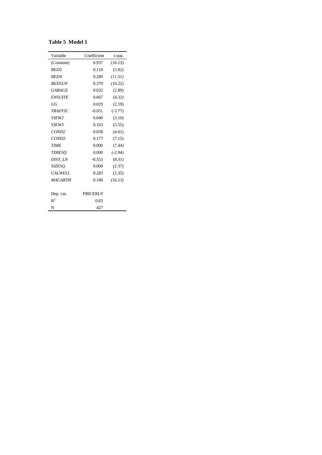<span id="page-27-0"></span>

| <b>Table 5 Model 1</b> |
|------------------------|
|------------------------|

| Variable          | Coefficient     | t-stat.   |
|-------------------|-----------------|-----------|
| (Constant)        | 6.937           | (16.13)   |
| BED <sub>3</sub>  | 0.110           | (5.82)    |
| <b>BED4</b>       | 0.289           | (11.51)   |
| <b>BED5UP</b>     | 0.379           | (10.22)   |
| GARAGE            | 0.032           | (2.89)    |
| <b>ENSUITE</b>    | 0.067           | (4.32)    |
| UG                | 0.029           | (2.19)    |
| <b>TRAFFIC</b>    | $-0.051$        | $(-3.77)$ |
| VIEW <sub>2</sub> | 0.040           | (3.10)    |
| VIEW3             | 0.163           | (5.55)    |
| COND2             | 0.058           | (4.61)    |
| COND3             | 0.177           | (7.15)    |
| <b>TIME</b>       | 0.000           | (7.44)    |
| <b>TIMESO</b>     | 0.000           | $(-2.94)$ |
| DIST_LN           | $-0.553$        | (8.31)    |
| <b>SIZESO</b>     | 0.000           | (2.37)    |
| CALWELL           | 0.283           | (2.35)    |
| <b>MACARTH</b>    | 0.186           | (16.13)   |
|                   |                 |           |
| Dep. var.         | <b>PRICERLN</b> |           |
| $R^2$             | 0.83            |           |
| N                 | 427             |           |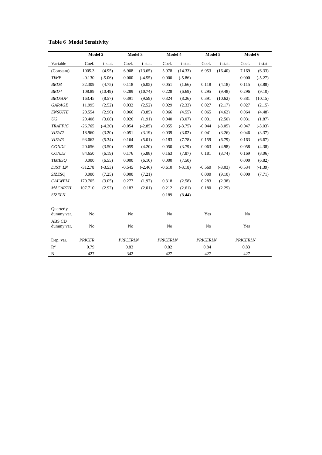|                                | Model 2        |           | Model 3         |           | Model 4         |           | Model 5         |           | Model 6         |           |
|--------------------------------|----------------|-----------|-----------------|-----------|-----------------|-----------|-----------------|-----------|-----------------|-----------|
| Variable                       | Coef.          | t-stat.   | Coef.           | t-stat.   | Coef.           | t-stat.   | Coef.           | t-stat.   | Coef.           | t-stat.   |
| (Constant)                     | 1005.3         | (4.95)    | 6.908           | (13.65)   | 5.978           | (14.33)   | 6.953           | (16.40)   | 7.169           | (6.33)    |
| <b>TIME</b>                    | $-0.130$       | $(-5.06)$ | 0.000           | $(-4.55)$ | 0.000           | $(-5.86)$ |                 |           | 0.000           | $(-5.27)$ |
| BED <sub>3</sub>               | 32.309         | (4.75)    | 0.118           | (6.05)    | 0.051           | (1.66)    | 0.118           | (4.18)    | 0.115           | (3.88)    |
| BED4                           | 108.89         | (10.49)   | 0.289           | (10.74)   | 0.228           | (6.69)    | 0.295           | (9.48)    | 0.296           | (9.10)    |
| <b>BED5UP</b>                  | 163.45         | (8.57)    | 0.391           | (9.59)    | 0.324           | (8.26)    | 0.391           | (10.62)   | 0.381           | (10.15)   |
| <b>GARAGE</b>                  | 11.995         | (2.52)    | 0.032           | (2.52)    | 0.029           | (2.33)    | 0.027           | (2.17)    | 0.027           | (2.15)    |
| <b>ENSUITE</b>                 | 20.554         | (2.96)    | 0.066           | (3.85)    | 0.066           | (4.55)    | 0.065           | (4.62)    | 0.064           | (4.48)    |
| UG                             | 20.408         | (3.08)    | 0.026           | (1.91)    | 0.040           | (3.07)    | 0.031           | (2.50)    | 0.031           | (1.87)    |
| <b>TRAFFIC</b>                 | $-26.765$      | $(-4.20)$ | $-0.054$        | $(-2.85)$ | $-0.055$        | $(-3.75)$ | $-0.044$        | $(-3.05)$ | $-0.047$        | $(-3.03)$ |
| VIEW2                          | 18.960         | (3.20)    | 0.051           | (3.19)    | 0.039           | (3.02)    | 0.041           | (3.26)    | 0.046           | (3.37)    |
| VIEW3                          | 93.062         | (5.34)    | 0.164           | (5.01)    | 0.183           | (7.78)    | 0.159           | (6.79)    | 0.163           | (6.67)    |
| COND <sub>2</sub>              | 20.656         | (3.50)    | 0.059           | (4.20)    | 0.050           | (3.79)    | 0.063           | (4.98)    | 0.058           | (4.38)    |
| COND <sub>3</sub>              | 84.650         | (6.19)    | 0.176           | (5.88)    | 0.163           | (7.87)    | 0.181           | (8.74)    | 0.169           | (8.06)    |
| <b>TIMESO</b>                  | 0.000          | (6.55)    | 0.000           | (6.10)    | 0.000           | (7.50)    |                 |           | 0.000           | (6.82)    |
| DIST_LN                        | $-312.78$      | $(-3.53)$ | $-0.545$        | $(-2.46)$ | $-0.610$        | $(-3.18)$ | $-0.560$        | $(-3.03)$ | $-0.534$        | $(-1.39)$ |
| <b>SIZESO</b>                  | 0.000          | (7.25)    | 0.000           | (7.21)    |                 |           | 0.000           | (9.10)    | 0.000           | (7.71)    |
| <b>CALWELL</b>                 | 170.705        | (3.05)    | 0.277           | (1.97)    | 0.318           | (2.58)    | 0.283           | (2.38)    |                 |           |
| <b>MACARTH</b>                 | 107.710        | (2.92)    | 0.183           | (2.01)    | 0.212           | (2.61)    | 0.180           | (2.29)    |                 |           |
| <b>SIZELN</b>                  |                |           |                 |           | 0.189           | (8.44)    |                 |           |                 |           |
| <b>Ouarterly</b><br>dummy var. | N <sub>o</sub> |           | N <sub>o</sub>  |           | No              |           | Yes             |           | N <sub>o</sub>  |           |
| ABS CD<br>dummy var.           | N <sub>o</sub> |           | N <sub>o</sub>  |           | N <sub>o</sub>  |           | N <sub>o</sub>  |           | Yes             |           |
| Dep. var.                      | <b>PRICER</b>  |           | <b>PRICERLN</b> |           | <b>PRICERLN</b> |           | <b>PRICERLN</b> |           | <b>PRICERLN</b> |           |
| $R^2$                          | 0.79           |           | 0.83            |           | 0.82            |           | 0.84            |           | 0.83            |           |
| $\mathbf N$                    | 427            |           | 342             |           | 427             |           | 427             |           | 427             |           |

#### <span id="page-28-0"></span>**Table 6 Model Sensitivity**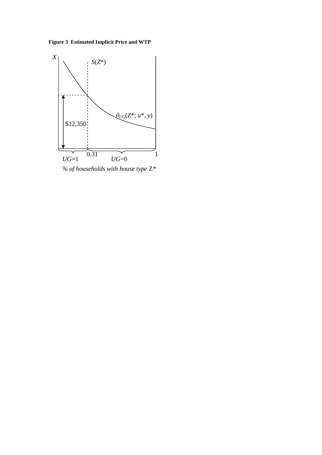<span id="page-29-0"></span>**Figure 3 Estimated Implicit Price and WTP**



*% of households with house type* Z*\**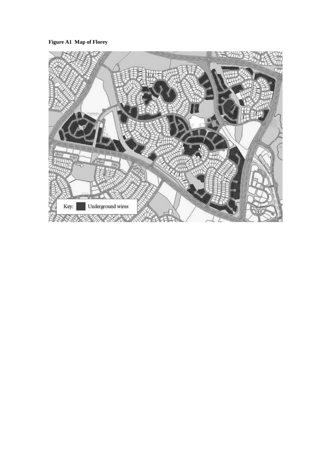**Figure A1 Map of Florey**

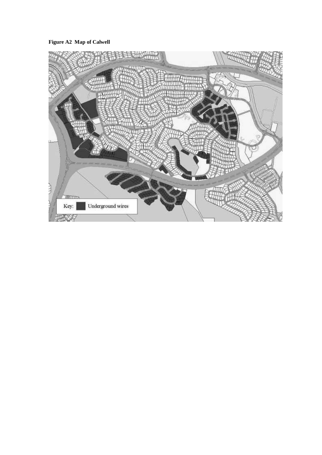**Figure A2 Map of Calwell**

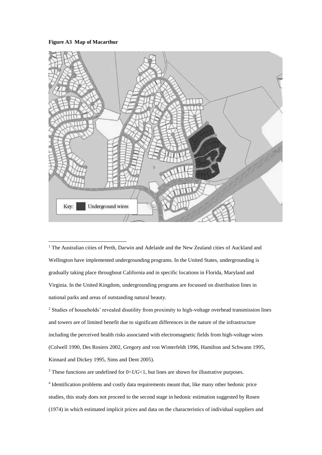#### **Figure A3 Map of Macarthur**

 $\overline{a}$ 



<sup>1</sup> The Australian cities of Perth, Darwin and Adelaide and the New Zealand cities of Auckland and Wellington have implemented undergrounding programs. In the United States, undergrounding is gradually taking place throughout California and in specific locations in Florida, Maryland and Virginia. In the United Kingdom, undergrounding programs are focussed on distribution lines in national parks and areas of outstanding natural beauty.

<sup>2</sup> Studies of households' revealed disutility from proximity to high-voltage overhead transmission lines and towers are of limited benefit due to significant differences in the nature of the infrastructure including the perceived health risks associated with electromagnetic fields from high-voltage wires (Colwell 1990, Des Rosiers 2002, Gregory and von Winterfeldt 1996, Hamilton and Schwann 1995, Kinnard and Dickey 1995, Sims and Dent 2005).

<sup>3</sup> These functions are undefined for  $0 < U$ G $< 1$ , but lines are shown for illustrative purposes. 4 Identification problems and costly data requirements meant that, like many other hedonic price studies, this study does not proceed to the second stage in hedonic estimation suggested by Rosen (1974) in which estimated implicit prices and data on the characteristics of individual suppliers and